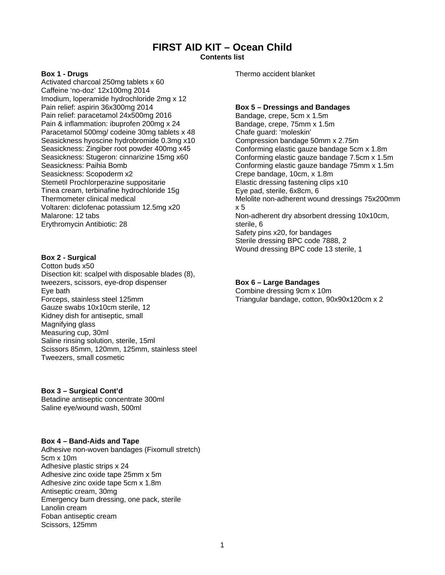# **FIRST AID KIT – Ocean Child**

**Contents list** 

#### **Box 1 - Drugs**

Activated charcoal 250mg tablets x 60 Caffeine 'no-doz' 12x100mg 2014 Imodium, loperamide hydrochloride 2mg x 12 Pain relief: aspirin 36x300mg 2014 Pain relief: paracetamol 24x500mg 2016 Pain & inflammation: ibuprofen 200mg x 24 Paracetamol 500mg/ codeine 30mg tablets x 48 Seasickness hyoscine hydrobromide 0.3mg x10 Seasickness: Zingiber root powder 400mg x45 Seasickness: Stugeron: cinnarizine 15mg x60 Seasickness: Paihia Bomb Seasickness: Scopoderm x2 Stemetil Prochlorperazine suppositarie Tinea cream, terbinafine hydrochloride 15g Thermometer clinical medical Voltaren: diclofenac potassium 12.5mg x20 Malarone: 12 tabs Erythromycin Antibiotic: 28

## **Box 2 - Surgical**

Cotton buds x50 Disection kit: scalpel with disposable blades (8), tweezers, scissors, eye-drop dispenser Eye bath Forceps, stainless steel 125mm Gauze swabs 10x10cm sterile, 12 Kidney dish for antiseptic, small Magnifying glass Measuring cup, 30ml Saline rinsing solution, sterile, 15ml Scissors 85mm, 120mm, 125mm, stainless steel Tweezers, small cosmetic

## **Box 3 – Surgical Cont'd**

Betadine antiseptic concentrate 300ml Saline eye/wound wash, 500ml

## **Box 4 – Band-Aids and Tape**

Adhesive non-woven bandages (Fixomull stretch) 5cm x 10m Adhesive plastic strips x 24 Adhesive zinc oxide tape 25mm x 5m Adhesive zinc oxide tape 5cm x 1.8m Antiseptic cream, 30mg Emergency burn dressing, one pack, sterile Lanolin cream Foban antiseptic cream Scissors, 125mm

Thermo accident blanket

#### **Box 5 – Dressings and Bandages**

Bandage, crepe, 5cm x 1.5m Bandage, crepe, 75mm x 1.5m Chafe guard: 'moleskin' Compression bandage 50mm x 2.75m Conforming elastic gauze bandage 5cm x 1.8m Conforming elastic gauze bandage 7.5cm x 1.5m Conforming elastic gauze bandage 75mm x 1.5m Crepe bandage, 10cm, x 1.8m Elastic dressing fastening clips x10 Eye pad, sterile, 6x8cm, 6 Melolite non-adherent wound dressings 75x200mm x 5 Non-adherent dry absorbent dressing 10x10cm, sterile, 6 Safety pins x20, for bandages Sterile dressing BPC code 7888, 2 Wound dressing BPC code 13 sterile, 1

#### **Box 6 – Large Bandages**

Combine dressing 9cm x 10m Triangular bandage, cotton, 90x90x120cm x 2